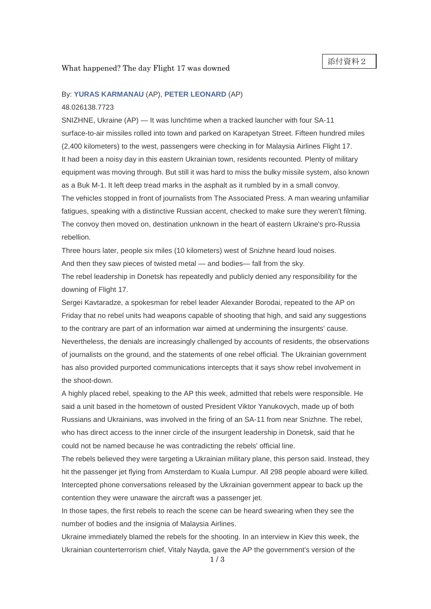## What happened? The day Flight 17 was downed

## By: **YURAS [KARMANAU](http://bigstory.ap.org/author/yuras-karmanau)** (AP), **PETER [LEONARD](http://bigstory.ap.org/content/peter-leonard)** (AP)

## 48.026138.7723

SNIZHNE, Ukraine (AP) — It was lunchtime when a tracked launcher with four SA-11 surface-to-air missiles rolled into town and parked on Karapetyan Street. Fifteen hundred miles (2,400 kilometers) to the west, passengers were checking in for Malaysia Airlines Flight 17. It had been a noisy day in this eastern Ukrainian town, residents recounted. Plenty of military equipment was moving through. But still it was hard to miss the bulky missile system, also known as a Buk M-1. It left deep tread marks in the asphalt as it rumbled by in a small convoy. The vehicles stopped in front of journalists from The Associated Press. A man wearing unfamiliar fatigues, speaking with a distinctive Russian accent, checked to make sure they weren't filming. The convoy then moved on, destination unknown in the heart of eastern Ukraine's pro-Russia rebellion.

Three hours later, people six miles (10 kilometers) west of Snizhne heard loud noises. And then they saw pieces of twisted metal — and bodies— fall from the sky.

The rebel leadership in Donetsk has repeatedly and publicly denied any responsibility for the downing of Flight 17.

Sergei Kavtaradze, a spokesman for rebel leader Alexander Borodai, repeated to the AP on Friday that no rebel units had weapons capable of shooting that high, and said any suggestions to the contrary are part of an information war aimed at undermining the insurgents' cause. Nevertheless, the denials are increasingly challenged by accounts of residents, the observations of journalists on the ground, and the statements of one rebel official. The Ukrainian government has also provided purported communications intercepts that it says show rebel involvement in the shoot-down.

A highly placed rebel, speaking to the AP this week, admitted that rebels were responsible. He said a unit based in the hometown of ousted President Viktor Yanukovych, made up of both Russians and Ukrainians, was involved in the firing of an SA-11 from near Snizhne. The rebel, who has direct access to the inner circle of the insurgent leadership in Donetsk, said that he could not be named because he was contradicting the rebels' official line.

The rebels believed they were targeting a Ukrainian military plane, this person said. Instead, they hit the passenger jet flying from Amsterdam to Kuala Lumpur. All 298 people aboard were killed. Intercepted phone conversations released by the Ukrainian government appear to back up the contention they were unaware the aircraft was a passenger jet.

In those tapes, the first rebels to reach the scene can be heard swearing when they see the number of bodies and the insignia of Malaysia Airlines.

Ukraine immediately blamed the rebels for the shooting. In an interview in Kiev this week, the Ukrainian counterterrorism chief, Vitaly Nayda, gave the AP the government's version of the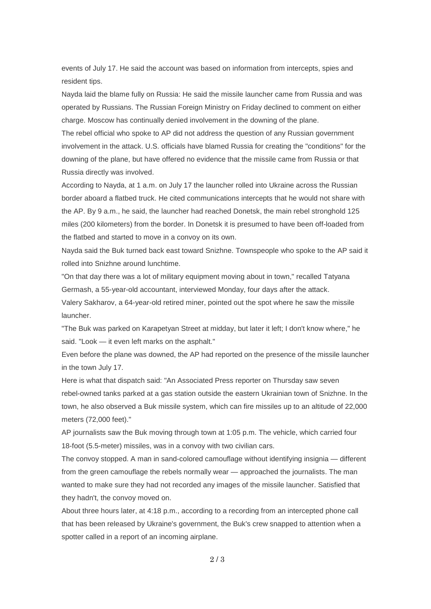events of July 17. He said the account was based on information from intercepts, spies and resident tips.

Nayda laid the blame fully on Russia: He said the missile launcher came from Russia and was operated by Russians. The Russian Foreign Ministry on Friday declined to comment on either charge. Moscow has continually denied involvement in the downing of the plane.

The rebel official who spoke to AP did not address the question of any Russian government involvement in the attack. U.S. officials have blamed Russia for creating the "conditions" for the downing of the plane, but have offered no evidence that the missile came from Russia or that Russia directly was involved.

According to Nayda, at 1 a.m. on July 17 the launcher rolled into Ukraine across the Russian border aboard a flatbed truck. He cited communications intercepts that he would not share with the AP. By 9 a.m., he said, the launcher had reached Donetsk, the main rebel stronghold 125 miles (200 kilometers) from the border. In Donetsk it is presumed to have been off-loaded from the flatbed and started to move in a convoy on its own.

Nayda said the Buk turned back east toward Snizhne. Townspeople who spoke to the AP said it rolled into Snizhne around lunchtime.

"On that day there was a lot of military equipment moving about in town," recalled Tatyana Germash, a 55-year-old accountant, interviewed Monday, four days after the attack.

Valery Sakharov, a 64-year-old retired miner, pointed out the spot where he saw the missile launcher.

"The Buk was parked on Karapetyan Street at midday, but later it left; I don't know where," he said. "Look — it even left marks on the asphalt."

Even before the plane was downed, the AP had reported on the presence of the missile launcher in the town July 17.

Here is what that dispatch said: "An Associated Press reporter on Thursday saw seven rebel-owned tanks parked at a gas station outside the eastern Ukrainian town of Snizhne. In the town, he also observed a Buk missile system, which can fire missiles up to an altitude of 22,000 meters (72,000 feet)."

AP journalists saw the Buk moving through town at 1:05 p.m. The vehicle, which carried four 18-foot (5.5-meter) missiles, was in a convoy with two civilian cars.

The convoy stopped. A man in sand-colored camouflage without identifying insignia — different from the green camouflage the rebels normally wear — approached the journalists. The man wanted to make sure they had not recorded any images of the missile launcher. Satisfied that they hadn't, the convoy moved on.

About three hours later, at 4:18 p.m., according to a recording from an intercepted phone call that has been released by Ukraine's government, the Buk's crew snapped to attention when a spotter called in a report of an incoming airplane.